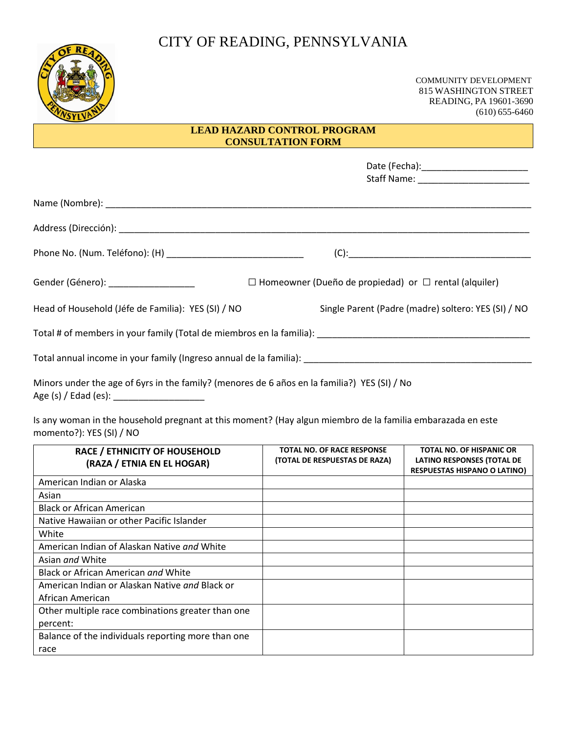# CITY OF READING, PENNSYLVANIA



 COMMUNITY DEVELOPMENT 815 WASHINGTON STREET READING, PA 19601-3690 (610) 655-6460

## **LEAD HAZARD CONTROL PROGRAM CONSULTATION FORM**

| Gender (Género): ______________________            | $\Box$ Homeowner (Dueño de propiedad) or $\Box$ rental (alquiler) |  |
|----------------------------------------------------|-------------------------------------------------------------------|--|
| Head of Household (Jéfe de Familia): YES (SI) / NO | Single Parent (Padre (madre) soltero: YES (SI) / NO               |  |
|                                                    |                                                                   |  |
|                                                    |                                                                   |  |
|                                                    |                                                                   |  |

Minors under the age of 6yrs in the family? (menores de 6 años en la familia?) YES (SI) / No Age (s) / Edad (es): \_\_\_\_\_\_\_\_\_\_\_\_\_\_\_\_\_\_

Is any woman in the household pregnant at this moment? (Hay algun miembro de la familia embarazada en este momento?): YES (SI) / NO

| <b>RACE / ETHNICITY OF HOUSEHOLD</b><br>(RAZA / ETNIA EN EL HOGAR) | <b>TOTAL NO. OF RACE RESPONSE</b><br>(TOTAL DE RESPUESTAS DE RAZA) | TOTAL NO. OF HISPANIC OR<br><b>LATINO RESPONSES (TOTAL DE</b><br><b>RESPUESTAS HISPANO O LATINO)</b> |
|--------------------------------------------------------------------|--------------------------------------------------------------------|------------------------------------------------------------------------------------------------------|
| American Indian or Alaska                                          |                                                                    |                                                                                                      |
| Asian                                                              |                                                                    |                                                                                                      |
| <b>Black or African American</b>                                   |                                                                    |                                                                                                      |
| Native Hawaiian or other Pacific Islander                          |                                                                    |                                                                                                      |
| White                                                              |                                                                    |                                                                                                      |
| American Indian of Alaskan Native and White                        |                                                                    |                                                                                                      |
| Asian <i>and</i> White                                             |                                                                    |                                                                                                      |
| Black or African American and White                                |                                                                    |                                                                                                      |
| American Indian or Alaskan Native and Black or                     |                                                                    |                                                                                                      |
| African American                                                   |                                                                    |                                                                                                      |
| Other multiple race combinations greater than one                  |                                                                    |                                                                                                      |
| percent:                                                           |                                                                    |                                                                                                      |
| Balance of the individuals reporting more than one                 |                                                                    |                                                                                                      |
| race                                                               |                                                                    |                                                                                                      |